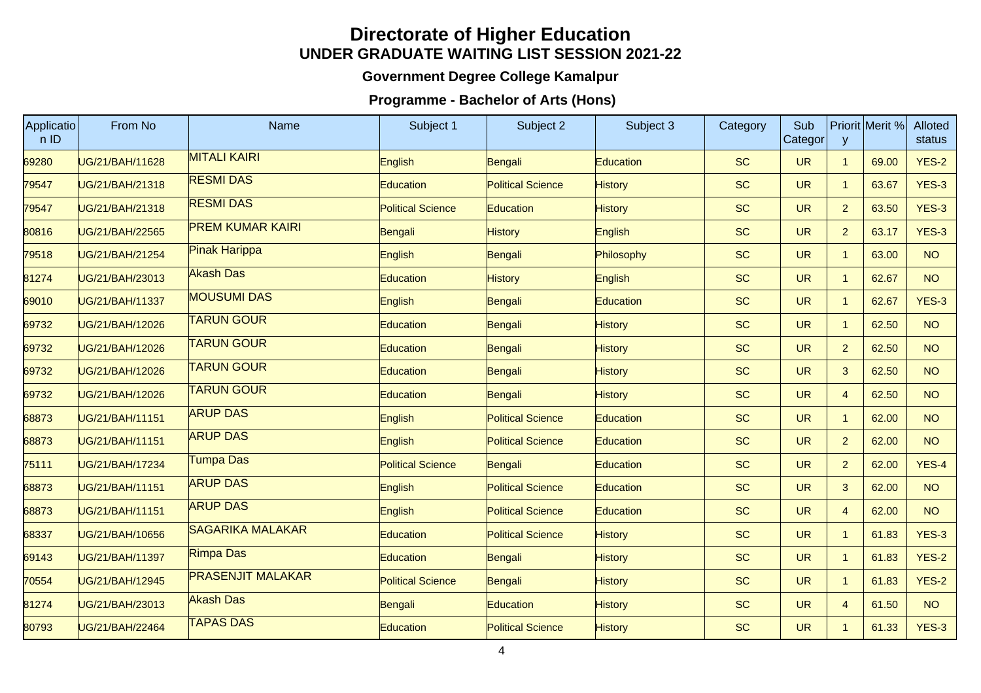## **Directorate of Higher Education UNDER GRADUATE WAITING LIST SESSION 2021-22**

## **Government Degree College Kamalpur**

## **Programme - Bachelor of Arts (Hons)**

| Applicatio<br>nID | From No         | Name                     | Subject 1                | Subject 2                | Subject 3        | Category  | Sub<br>Categor | y              | Priorit Merit % | <b>Alloted</b><br>status |
|-------------------|-----------------|--------------------------|--------------------------|--------------------------|------------------|-----------|----------------|----------------|-----------------|--------------------------|
| 69280             | UG/21/BAH/11628 | <b>MITALI KAIRI</b>      | English                  | Bengali                  | Education        | <b>SC</b> | <b>UR</b>      | $\overline{1}$ | 69.00           | $YES-2$                  |
| 79547             | UG/21/BAH/21318 | <b>RESMI DAS</b>         | Education                | <b>Political Science</b> | <b>History</b>   | <b>SC</b> | <b>UR</b>      | $\overline{1}$ | 63.67           | <b>YES-3</b>             |
| 79547             | UG/21/BAH/21318 | <b>RESMI DAS</b>         | <b>Political Science</b> | <b>Education</b>         | <b>History</b>   | <b>SC</b> | <b>UR</b>      | $\overline{2}$ | 63.50           | <b>YES-3</b>             |
| 80816             | UG/21/BAH/22565 | <b>PREM KUMAR KAIRI</b>  | Bengali                  | <b>History</b>           | English          | <b>SC</b> | <b>UR</b>      | 2 <sup>1</sup> | 63.17           | <b>YES-3</b>             |
| 79518             | UG/21/BAH/21254 | <b>Pinak Harippa</b>     | English                  | Bengali                  | Philosophy       | <b>SC</b> | <b>UR</b>      | $\overline{1}$ | 63.00           | <b>NO</b>                |
| 81274             | UG/21/BAH/23013 | <b>Akash Das</b>         | Education                | <b>History</b>           | English          | <b>SC</b> | <b>UR</b>      | $\overline{1}$ | 62.67           | <b>NO</b>                |
| 69010             | UG/21/BAH/11337 | <b>MOUSUMI DAS</b>       | English                  | <b>Bengali</b>           | <b>Education</b> | <b>SC</b> | <b>UR</b>      | $\overline{1}$ | 62.67           | <b>YES-3</b>             |
| 69732             | UG/21/BAH/12026 | <b>TARUN GOUR</b>        | Education                | Bengali                  | <b>History</b>   | <b>SC</b> | <b>UR</b>      | $\overline{1}$ | 62.50           | <b>NO</b>                |
| 69732             | UG/21/BAH/12026 | <b>TARUN GOUR</b>        | Education                | Bengali                  | History          | <b>SC</b> | <b>UR</b>      | $\overline{2}$ | 62.50           | <b>NO</b>                |
| 69732             | UG/21/BAH/12026 | <b>TARUN GOUR</b>        | Education                | Bengali                  | <b>History</b>   | <b>SC</b> | <b>UR</b>      | $\mathbf{3}$   | 62.50           | <b>NO</b>                |
| 69732             | UG/21/BAH/12026 | <b>TARUN GOUR</b>        | Education                | Bengali                  | <b>History</b>   | <b>SC</b> | <b>UR</b>      | $\overline{4}$ | 62.50           | <b>NO</b>                |
| 68873             | UG/21/BAH/11151 | <b>ARUP DAS</b>          | English                  | <b>Political Science</b> | Education        | <b>SC</b> | <b>UR</b>      | $\mathbf{1}$   | 62.00           | <b>NO</b>                |
| 68873             | UG/21/BAH/11151 | <b>ARUP DAS</b>          | English                  | <b>Political Science</b> | <b>Education</b> | <b>SC</b> | <b>UR</b>      | 2 <sup>2</sup> | 62.00           | <b>NO</b>                |
| 75111             | UG/21/BAH/17234 | <b>Tumpa Das</b>         | <b>Political Science</b> | Bengali                  | Education        | <b>SC</b> | <b>UR</b>      | $\overline{2}$ | 62.00           | YES-4                    |
| 68873             | UG/21/BAH/11151 | <b>ARUP DAS</b>          | English                  | <b>Political Science</b> | Education        | <b>SC</b> | <b>UR</b>      | $\mathbf{3}$   | 62.00           | <b>NO</b>                |
| 68873             | UG/21/BAH/11151 | <b>ARUP DAS</b>          | English                  | <b>Political Science</b> | Education        | <b>SC</b> | <b>UR</b>      | $\overline{4}$ | 62.00           | <b>NO</b>                |
| 68337             | UG/21/BAH/10656 | <b>SAGARIKA MALAKAR</b>  | Education                | <b>Political Science</b> | <b>History</b>   | <b>SC</b> | <b>UR</b>      | $\overline{1}$ | 61.83           | $YES-3$                  |
| 69143             | UG/21/BAH/11397 | Rimpa Das                | Education                | Bengali                  | <b>History</b>   | <b>SC</b> | <b>UR</b>      | $\overline{1}$ | 61.83           | <b>YES-2</b>             |
| 70554             | UG/21/BAH/12945 | <b>PRASENJIT MALAKAR</b> | <b>Political Science</b> | Bengali                  | <b>History</b>   | <b>SC</b> | <b>UR</b>      | $\overline{1}$ | 61.83           | <b>YES-2</b>             |
| 81274             | UG/21/BAH/23013 | <b>Akash Das</b>         | Bengali                  | Education                | <b>History</b>   | <b>SC</b> | <b>UR</b>      | $\overline{4}$ | 61.50           | <b>NO</b>                |
| 80793             | UG/21/BAH/22464 | <b>TAPAS DAS</b>         | Education                | <b>Political Science</b> | History          | <b>SC</b> | <b>UR</b>      | $\mathbf{1}$   | 61.33           | $YES-3$                  |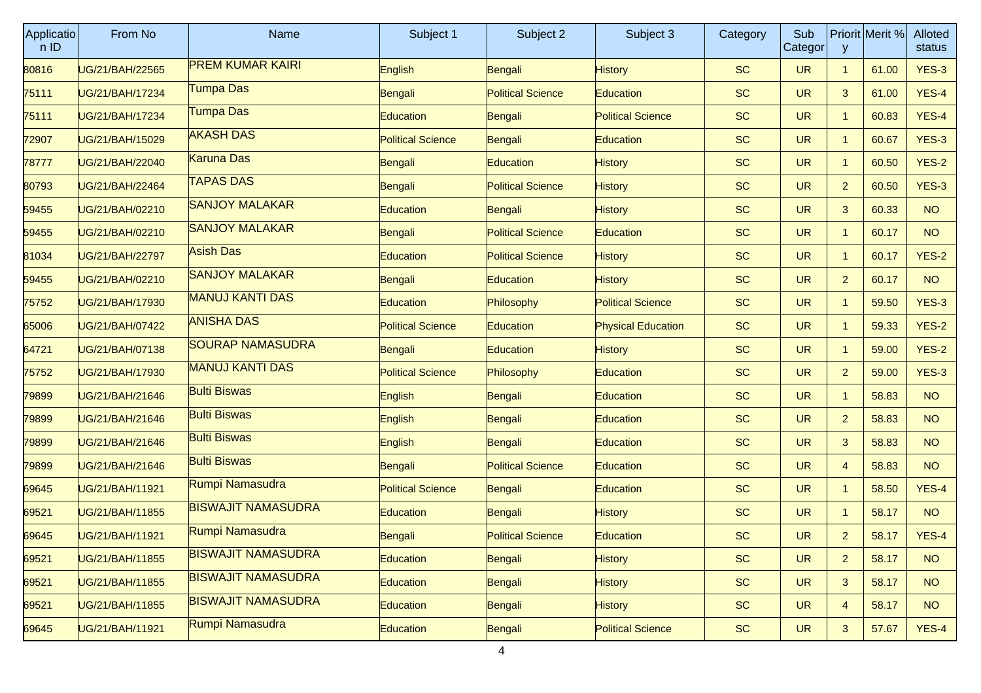| <b>Applicatio</b><br>n ID | From No         | Name                      | Subject 1                | Subject 2                | Subject 3                 | Category  | Sub<br>Categor | <sup>y</sup>   | Priorit Merit % | <b>Alloted</b><br>status |
|---------------------------|-----------------|---------------------------|--------------------------|--------------------------|---------------------------|-----------|----------------|----------------|-----------------|--------------------------|
| 80816                     | UG/21/BAH/22565 | <b>PREM KUMAR KAIRI</b>   | English                  | Bengali                  | <b>History</b>            | <b>SC</b> | <b>UR</b>      | $\mathbf{1}$   | 61.00           | $YES-3$                  |
| 75111                     | UG/21/BAH/17234 | Tumpa Das                 | <b>Bengali</b>           | <b>Political Science</b> | Education                 | <b>SC</b> | <b>UR</b>      | 3              | 61.00           | YES-4                    |
| 75111                     | UG/21/BAH/17234 | Tumpa Das                 | <b>Education</b>         | Bengali                  | <b>Political Science</b>  | <b>SC</b> | <b>UR</b>      | $\mathbf{1}$   | 60.83           | YES-4                    |
| 72907                     | UG/21/BAH/15029 | <b>AKASH DAS</b>          | <b>Political Science</b> | Bengali                  | Education                 | <b>SC</b> | <b>UR</b>      | $\mathbf{1}$   | 60.67           | $YES-3$                  |
| 78777                     | UG/21/BAH/22040 | Karuna Das                | <b>Bengali</b>           | Education                | <b>History</b>            | <b>SC</b> | <b>UR</b>      | $\mathbf{1}$   | 60.50           | <b>YES-2</b>             |
| 80793                     | UG/21/BAH/22464 | <b>TAPAS DAS</b>          | <b>Bengali</b>           | <b>Political Science</b> | <b>History</b>            | <b>SC</b> | <b>UR</b>      | $\overline{2}$ | 60.50           | $YES-3$                  |
| 59455                     | UG/21/BAH/02210 | <b>SANJOY MALAKAR</b>     | <b>Education</b>         | Bengali                  | <b>History</b>            | <b>SC</b> | <b>UR</b>      | 3              | 60.33           | <b>NO</b>                |
| 59455                     | UG/21/BAH/02210 | <b>SANJOY MALAKAR</b>     | <b>Bengali</b>           | <b>Political Science</b> | Education                 | <b>SC</b> | <b>UR</b>      | $\mathbf{1}$   | 60.17           | <b>NO</b>                |
| 81034                     | UG/21/BAH/22797 | <b>Asish Das</b>          | <b>Education</b>         | <b>Political Science</b> | <b>History</b>            | <b>SC</b> | <b>UR</b>      | $\mathbf{1}$   | 60.17           | <b>YES-2</b>             |
| 59455                     | UG/21/BAH/02210 | <b>SANJOY MALAKAR</b>     | Bengali                  | Education                | <b>History</b>            | <b>SC</b> | <b>UR</b>      | $\overline{2}$ | 60.17           | <b>NO</b>                |
| 75752                     | UG/21/BAH/17930 | <b>MANUJ KANTI DAS</b>    | <b>Education</b>         | Philosophy               | <b>Political Science</b>  | <b>SC</b> | <b>UR</b>      | $\mathbf{1}$   | 59.50           | $YES-3$                  |
| 65006                     | UG/21/BAH/07422 | <b>ANISHA DAS</b>         | <b>Political Science</b> | Education                | <b>Physical Education</b> | <b>SC</b> | <b>UR</b>      | $\mathbf{1}$   | 59.33           | <b>YES-2</b>             |
| 64721                     | UG/21/BAH/07138 | <b>SOURAP NAMASUDRA</b>   | <b>Bengali</b>           | Education                | <b>History</b>            | <b>SC</b> | <b>UR</b>      | $\mathbf{1}$   | 59.00           | <b>YES-2</b>             |
| 75752                     | UG/21/BAH/17930 | <b>MANUJ KANTI DAS</b>    | <b>Political Science</b> | Philosophy               | Education                 | <b>SC</b> | <b>UR</b>      | $\overline{2}$ | 59.00           | YES-3                    |
| 79899                     | UG/21/BAH/21646 | <b>Bulti Biswas</b>       | English                  | Bengali                  | Education                 | <b>SC</b> | <b>UR</b>      | $\mathbf{1}$   | 58.83           | <b>NO</b>                |
| 79899                     | UG/21/BAH/21646 | <b>Bulti Biswas</b>       | <b>English</b>           | Bengali                  | Education                 | <b>SC</b> | <b>UR</b>      | $\overline{2}$ | 58.83           | <b>NO</b>                |
| 79899                     | UG/21/BAH/21646 | <b>Bulti Biswas</b>       | English                  | Bengali                  | Education                 | <b>SC</b> | <b>UR</b>      | 3              | 58.83           | <b>NO</b>                |
| 79899                     | UG/21/BAH/21646 | <b>Bulti Biswas</b>       | <b>Bengali</b>           | <b>Political Science</b> | Education                 | <b>SC</b> | <b>UR</b>      | $\overline{4}$ | 58.83           | <b>NO</b>                |
| 69645                     | UG/21/BAH/11921 | Rumpi Namasudra           | <b>Political Science</b> | Bengali                  | Education                 | <b>SC</b> | <b>UR</b>      | $\mathbf{1}$   | 58.50           | YES-4                    |
| 69521                     | UG/21/BAH/11855 | <b>BISWAJIT NAMASUDRA</b> | <b>Education</b>         | <b>Bengali</b>           | <b>History</b>            | <b>SC</b> | <b>UR</b>      | $\mathbf{1}$   | 58.17           | <b>NO</b>                |
| 69645                     | UG/21/BAH/11921 | Rumpi Namasudra           | Bengali                  | <b>Political Science</b> | Education                 | <b>SC</b> | <b>UR</b>      | $\overline{2}$ | 58.17           | YES-4                    |
| 69521                     | UG/21/BAH/11855 | <b>BISWAJIT NAMASUDRA</b> | Education                | Bengali                  | <b>History</b>            | <b>SC</b> | <b>UR</b>      | $\overline{2}$ | 58.17           | <b>NO</b>                |
| 69521                     | UG/21/BAH/11855 | <b>BISWAJIT NAMASUDRA</b> | Education                | Bengali                  | <b>History</b>            | <b>SC</b> | <b>UR</b>      | $\mathbf{3}$   | 58.17           | <b>NO</b>                |
| 69521                     | UG/21/BAH/11855 | <b>BISWAJIT NAMASUDRA</b> | <b>Education</b>         | Bengali                  | <b>History</b>            | <b>SC</b> | <b>UR</b>      | $\overline{4}$ | 58.17           | NO                       |
| 69645                     | UG/21/BAH/11921 | Rumpi Namasudra           | Education                | Bengali                  | <b>Political Science</b>  | <b>SC</b> | <b>UR</b>      | 3              | 57.67           | YES-4                    |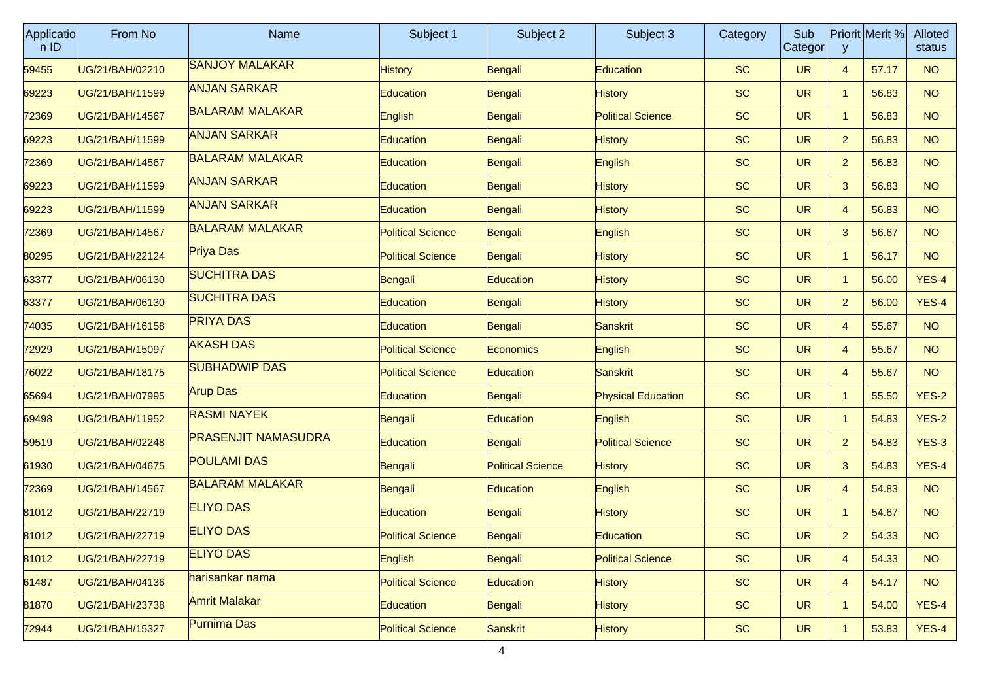| <b>Applicatio</b><br>n ID | From No         | <b>Name</b>                | Subject 1                | Subject 2                | Subject 3                 | Category  | Sub<br>Categor | y              | Priorit Merit % | Alloted<br>status |
|---------------------------|-----------------|----------------------------|--------------------------|--------------------------|---------------------------|-----------|----------------|----------------|-----------------|-------------------|
| 59455                     | UG/21/BAH/02210 | <b>SANJOY MALAKAR</b>      | <b>History</b>           | Bengali                  | <b>Education</b>          | <b>SC</b> | <b>UR</b>      | $\overline{4}$ | 57.17           | <b>NO</b>         |
| 69223                     | UG/21/BAH/11599 | <b>ANJAN SARKAR</b>        | Education                | Bengali                  | <b>History</b>            | <b>SC</b> | <b>UR</b>      | $\mathbf{1}$   | 56.83           | <b>NO</b>         |
| 72369                     | UG/21/BAH/14567 | <b>BALARAM MALAKAR</b>     | English                  | Bengali                  | <b>Political Science</b>  | <b>SC</b> | <b>UR</b>      | $\mathbf{1}$   | 56.83           | NO <sub>1</sub>   |
| 69223                     | UG/21/BAH/11599 | <b>ANJAN SARKAR</b>        | Education                | Bengali                  | <b>History</b>            | <b>SC</b> | <b>UR</b>      | $\overline{2}$ | 56.83           | <b>NO</b>         |
| 72369                     | UG/21/BAH/14567 | <b>BALARAM MALAKAR</b>     | <b>Education</b>         | Bengali                  | English                   | <b>SC</b> | <b>UR</b>      | $\overline{2}$ | 56.83           | <b>NO</b>         |
| 69223                     | UG/21/BAH/11599 | <b>ANJAN SARKAR</b>        | Education                | Bengali                  | <b>History</b>            | <b>SC</b> | <b>UR</b>      | 3              | 56.83           | NO <sub>1</sub>   |
| 69223                     | UG/21/BAH/11599 | <b>ANJAN SARKAR</b>        | Education                | Bengali                  | <b>History</b>            | <b>SC</b> | <b>UR</b>      | $\overline{4}$ | 56.83           | <b>NO</b>         |
| 72369                     | UG/21/BAH/14567 | <b>BALARAM MALAKAR</b>     | <b>Political Science</b> | Bengali                  | English                   | <b>SC</b> | <b>UR</b>      | 3              | 56.67           | <b>NO</b>         |
| 80295                     | UG/21/BAH/22124 | <b>Priya Das</b>           | <b>Political Science</b> | Bengali                  | <b>History</b>            | <b>SC</b> | <b>UR</b>      | $\mathbf{1}$   | 56.17           | <b>NO</b>         |
| 63377                     | UG/21/BAH/06130 | <b>SUCHITRA DAS</b>        | Bengali                  | Education                | <b>History</b>            | <b>SC</b> | <b>UR</b>      | $\mathbf{1}$   | 56.00           | YES-4             |
| 63377                     | UG/21/BAH/06130 | <b>SUCHITRA DAS</b>        | <b>Education</b>         | Bengali                  | <b>History</b>            | <b>SC</b> | <b>UR</b>      | $\overline{2}$ | 56.00           | YES-4             |
| 74035                     | UG/21/BAH/16158 | <b>PRIYA DAS</b>           | Education                | Bengali                  | Sanskrit                  | <b>SC</b> | <b>UR</b>      | 4              | 55.67           | NO                |
| 72929                     | UG/21/BAH/15097 | <b>AKASH DAS</b>           | <b>Political Science</b> | <b>Economics</b>         | English                   | <b>SC</b> | <b>UR</b>      | $\overline{4}$ | 55.67           | <b>NO</b>         |
| 76022                     | UG/21/BAH/18175 | <b>SUBHADWIP DAS</b>       | <b>Political Science</b> | Education                | Sanskrit                  | <b>SC</b> | <b>UR</b>      | 4              | 55.67           | <b>NO</b>         |
| 65694                     | UG/21/BAH/07995 | <b>Arup Das</b>            | Education                | Bengali                  | <b>Physical Education</b> | <b>SC</b> | <b>UR</b>      | $\mathbf{1}$   | 55.50           | $YES-2$           |
| 69498                     | UG/21/BAH/11952 | <b>RASMI NAYEK</b>         | Bengali                  | Education                | English                   | <b>SC</b> | <b>UR</b>      | $\mathbf{1}$   | 54.83           | <b>YES-2</b>      |
| 59519                     | UG/21/BAH/02248 | <b>PRASENJIT NAMASUDRA</b> | <b>Education</b>         | Bengali                  | <b>Political Science</b>  | <b>SC</b> | <b>UR</b>      | $\overline{2}$ | 54.83           | $YES-3$           |
| 61930                     | UG/21/BAH/04675 | <b>POULAMI DAS</b>         | Bengali                  | <b>Political Science</b> | <b>History</b>            | <b>SC</b> | <b>UR</b>      | 3              | 54.83           | YES-4             |
| 72369                     | UG/21/BAH/14567 | <b>BALARAM MALAKAR</b>     | Bengali                  | Education                | English                   | <b>SC</b> | <b>UR</b>      | $\overline{4}$ | 54.83           | <b>NO</b>         |
| 81012                     | UG/21/BAH/22719 | <b>ELIYO DAS</b>           | <b>Education</b>         | Bengali                  | <b>History</b>            | <b>SC</b> | <b>UR</b>      | $\mathbf{1}$   | 54.67           | <b>NO</b>         |
| 81012                     | UG/21/BAH/22719 | <b>ELIYO DAS</b>           | <b>Political Science</b> | Bengali                  | Education                 | <b>SC</b> | <b>UR</b>      | $\overline{2}$ | 54.33           | NO <sub>1</sub>   |
| 81012                     | UG/21/BAH/22719 | <b>ELIYO DAS</b>           | English                  | Bengali                  | <b>Political Science</b>  | <b>SC</b> | <b>UR</b>      | $\overline{4}$ | 54.33           | <b>NO</b>         |
| 61487                     | UG/21/BAH/04136 | harisankar nama            | <b>Political Science</b> | Education                | <b>History</b>            | <b>SC</b> | <b>UR</b>      | $\overline{4}$ | 54.17           | <b>NO</b>         |
| 81870                     | UG/21/BAH/23738 | <b>Amrit Malakar</b>       | Education                | Bengali                  | <b>History</b>            | <b>SC</b> | <b>UR</b>      | $\mathbf{1}$   | 54.00           | YES-4             |
| 72944                     | UG/21/BAH/15327 | <b>Purnima Das</b>         | <b>Political Science</b> | Sanskrit                 | <b>History</b>            | <b>SC</b> | <b>UR</b>      | $\mathbf{1}$   | 53.83           | YES-4             |